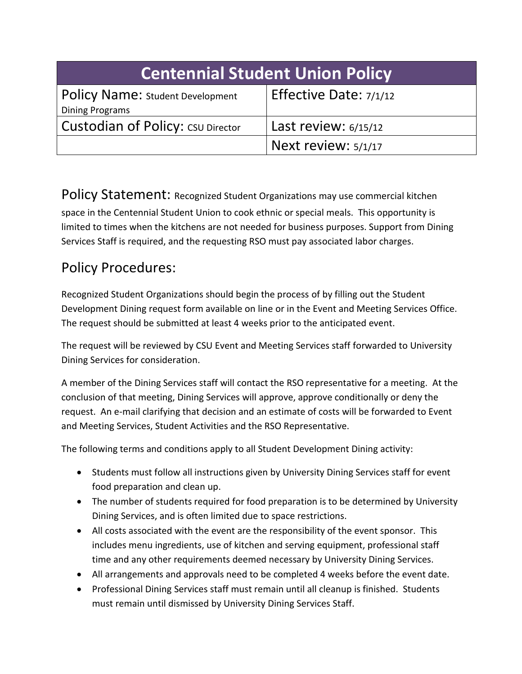| <b>Centennial Student Union Policy</b>                     |                          |
|------------------------------------------------------------|--------------------------|
| Policy Name: Student Development<br><b>Dining Programs</b> | Effective Date: $7/1/12$ |
| <b>Custodian of Policy: CSU Director</b>                   | Last review: $6/15/12$   |
|                                                            | Next review: $5/1/17$    |

Policy Statement: Recognized Student Organizations may use commercial kitchen space in the Centennial Student Union to cook ethnic or special meals. This opportunity is limited to times when the kitchens are not needed for business purposes. Support from Dining Services Staff is required, and the requesting RSO must pay associated labor charges.

## Policy Procedures:

Recognized Student Organizations should begin the process of by filling out the Student Development Dining request form available on line or in the Event and Meeting Services Office. The request should be submitted at least 4 weeks prior to the anticipated event.

The request will be reviewed by CSU Event and Meeting Services staff forwarded to University Dining Services for consideration.

A member of the Dining Services staff will contact the RSO representative for a meeting. At the conclusion of that meeting, Dining Services will approve, approve conditionally or deny the request. An e-mail clarifying that decision and an estimate of costs will be forwarded to Event and Meeting Services, Student Activities and the RSO Representative.

The following terms and conditions apply to all Student Development Dining activity:

- Students must follow all instructions given by University Dining Services staff for event food preparation and clean up.
- The number of students required for food preparation is to be determined by University Dining Services, and is often limited due to space restrictions.
- All costs associated with the event are the responsibility of the event sponsor. This includes menu ingredients, use of kitchen and serving equipment, professional staff time and any other requirements deemed necessary by University Dining Services.
- All arrangements and approvals need to be completed 4 weeks before the event date.
- Professional Dining Services staff must remain until all cleanup is finished. Students must remain until dismissed by University Dining Services Staff.